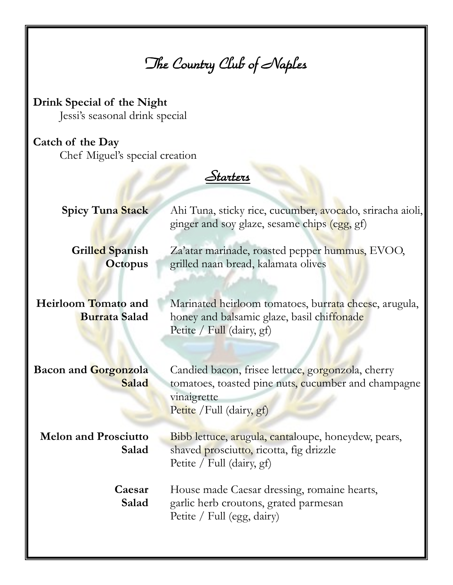*The Country Club of Naples* 

**Drink Special of the Night** Jessi's seasonal drink special

## **Catch of the Day**

Chef Miguel's special creation

*Starters* 

| <b>Spicy Tuna Stack</b>                            | Ahi Tuna, sticky rice, cucumber, avocado, sriracha aioli,<br>ginger and soy glaze, sesame chips (egg, gf)                                            |
|----------------------------------------------------|------------------------------------------------------------------------------------------------------------------------------------------------------|
| Grilled Spanish<br><b>Octopus</b>                  | Za'atar marinade, roasted pepper hummus, EVOO,<br>grilled naan bread, kalamata olives                                                                |
| <b>Heirloom Tomato and</b><br><b>Burrata Salad</b> | Marinated heirloom tomatoes, burrata cheese, arugula,<br>honey and balsamic glaze, basil chiffonade<br>Petite / Full (dairy, gf)                     |
| <b>Bacon and Gorgonzola</b><br>Salad               | Candied bacon, frisee lettuce, gorgonzola, cherry<br>tomatoes, toasted pine nuts, cucumber and champagne<br>vinaigrette<br>Petite / Full (dairy, gf) |
| <b>Melon and Prosciutto</b><br>Salad               | Bibb lettuce, arugula, cantaloupe, honeydew, pears,<br>shaved prosciutto, ricotta, fig drizzle<br>Petite / Full (dairy, gf)                          |
| Caesar<br>Salad                                    | House made Caesar dressing, romaine hearts,<br>garlic herb croutons, grated parmesan<br>Petite / Full (egg, dairy)                                   |